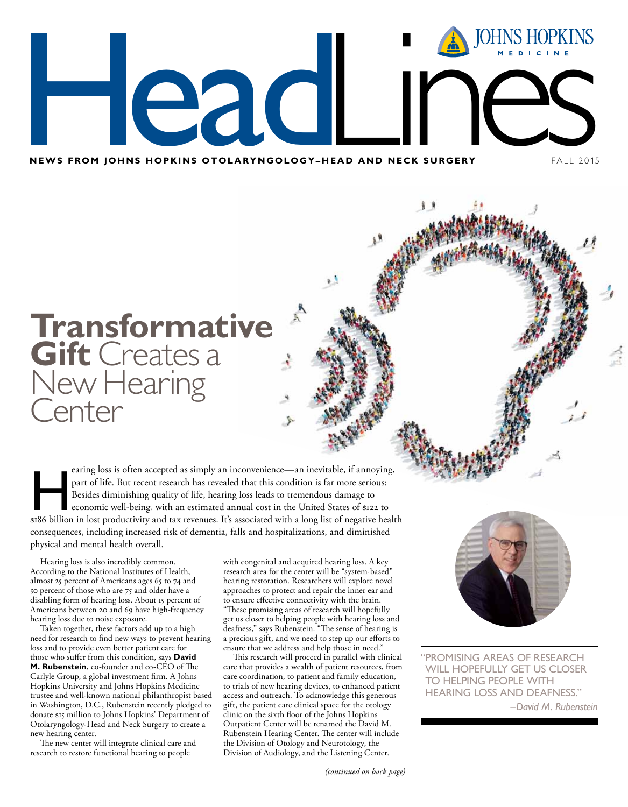MEWS FROM JOHNS **NEWS FROM JOHNS HOPKINS OTOLARYNGOLOGY-HEAD AND NECK SURGERY FALL 2015** NS HOPKINS OTOLARYNGOLOGY-HEA **LANSIFIER**<br>HEAD AND NE JOHNS HOPKINS

# **Transformative Gift** Creates a New Hearing **Center**

earing loss is often accepted as simply an inconvenience—an inevitable, if annoying,<br>part of life. But recent research has revealed that this condition is far more serious:<br>Besides diminishing quality of life, hearing loss part of life. But recent research has revealed that this condition is far more serious: Besides diminishing quality of life, hearing loss leads to tremendous damage to economic well-being, with an estimated annual cost in the United States of \$122 to \$186 billion in lost productivity and tax revenues. It's associated with a long list of negative health consequences, including increased risk of dementia, falls and hospitalizations, and diminished physical and mental health overall.

Hearing loss is also incredibly common. According to the National Institutes of Health, almost 25 percent of Americans ages 65 to 74 and 50 percent of those who are 75 and older have a disabling form of hearing loss. About 15 percent of Americans between 20 and 69 have high-frequency hearing loss due to noise exposure.

Taken together, these factors add up to a high need for research to find new ways to prevent hearing loss and to provide even better patient care for those who suffer from this condition, says **David M. Rubenstein**, co-founder and co-CEO of The Carlyle Group, a global investment firm. A Johns Hopkins University and Johns Hopkins Medicine trustee and well-known national philanthropist based in Washington, D.C., Rubenstein recently pledged to donate \$15 million to Johns Hopkins' Department of Otolaryngology-Head and Neck Surgery to create a new hearing center.

The new center will integrate clinical care and research to restore functional hearing to people

with congenital and acquired hearing loss. A key research area for the center will be "system-based" hearing restoration. Researchers will explore novel approaches to protect and repair the inner ear and to ensure effective connectivity with the brain. "These promising areas of research will hopefully get us closer to helping people with hearing loss and deafness," says Rubenstein. "The sense of hearing is a precious gift, and we need to step up our efforts to ensure that we address and help those in need."

v.

This research will proceed in parallel with clinical care that provides a wealth of patient resources, from care coordination, to patient and family education, to trials of new hearing devices, to enhanced patient access and outreach. To acknowledge this generous gift, the patient care clinical space for the otology clinic on the sixth floor of the Johns Hopkins Outpatient Center will be renamed the David M. Rubenstein Hearing Center. The center will include the Division of Otology and Neurotology, the Division of Audiology, and the Listening Center.



"promising areas of research will hopefully get us closer to helping people with hearing loss and deafness."

–*David M. Rubenstein*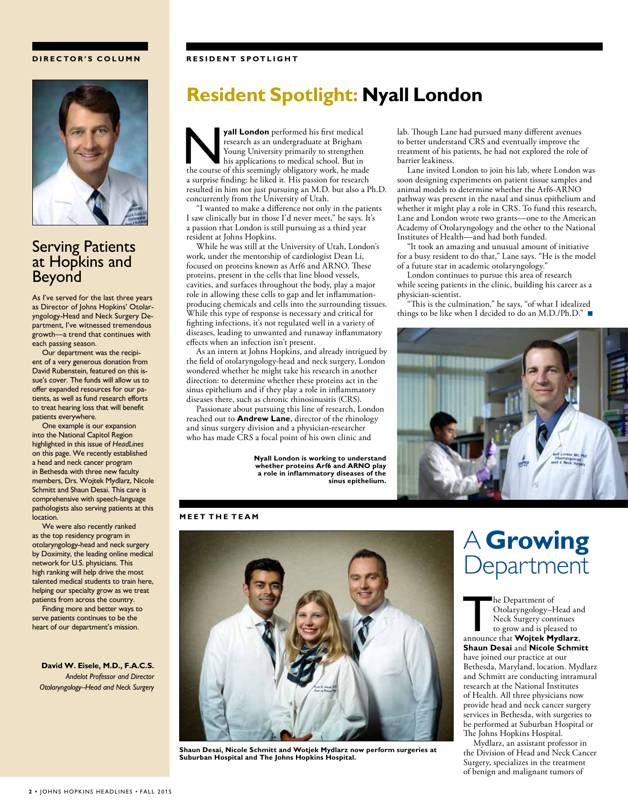### **D I R E C TO R's COLU M N**

### **RESIDENT SPOTLIGHT**



## Serving Patients at Hopkins and Beyond

As I've served for the last three years as Director of Johns Hopkins' Otolaryngology-Head and Neck Surgery Department, I've witnessed tremendous growth—a trend that continues with each passing season.

Our department was the recipient of a very generous donation from David Rubenstein, featured on this issue's cover. The funds will allow us to offer expanded resources for our patients, as well as fund research efforts to treat hearing loss that will benefit patients everywhere.

One example is our expansion into the National Capitol Region highlighted in this issue of *HeadLines* on this page. We recently established a head and neck cancer program in Bethesda with three new faculty members, Drs. Wojtek Mydlarz, Nicole Schmitt and Shaun Desai. This care is comprehensive with speech-language pathologists also serving patients at this location.

We were also recently ranked as the top residency program in otolaryngology-head and neck surgery by Doximity, the leading online medical network for U.S. physicians. This high ranking will help drive the most talented medical students to train here, helping our specialty grow as we treat patients from across the country.

Finding more and better ways to serve patients continues to be the heart of our department's mission.

**David W. Eisele, M.D., F.A.C.S.** *Andelot Professor and Director Otolaryngology–Head and Neck Surgery*

## **Resident Spotlight: Nyall London**

**yall London** performed his first medical research as an undergraduate at Brigham Young University primarily to strengthen his applications to medical school. But in the course of this seemingly obligatory work, he mad research as an undergraduate at Brigham Young University primarily to strengthen his applications to medical school. But in the course of this seemingly obligatory work, he made a surprise finding: he liked it. His passion for research resulted in him not just pursuing an M.D. but also a Ph.D. concurrently from the University of Utah.

"I wanted to make a difference not only in the patients I saw clinically but in those I'd never meet," he says. It's a passion that London is still pursuing as a third year resident at Johns Hopkins.

While he was still at the University of Utah, London's work, under the mentorship of cardiologist Dean Li, focused on proteins known as Arf6 and ARNO. These proteins, present in the cells that line blood vessels, cavities, and surfaces throughout the body, play a major role in allowing these cells to gap and let inflammationproducing chemicals and cells into the surrounding tissues. While this type of response is necessary and critical for fighting infections, it's not regulated well in a variety of diseases, leading to unwanted and runaway inflammatory effects when an infection isn't present.

As an intern at Johns Hopkins, and already intrigued by the field of otolaryngology-head and neck surgery, London wondered whether he might take his research in another direction: to determine whether these proteins act in the sinus epithelium and if they play a role in inflammatory diseases there, such as chronic rhinosinusitis (CRS).

Passionate about pursuing this line of research, London reached out to **Andrew Lane**, director of the rhinology and sinus surgery division and a physician-researcher who has made CRS a focal point of his own clinic and

> **Nyall London is working to understand whether proteins Arf6 and ARNO play a role in inflammatory diseases of the sinus epithelium.**

lab. Though Lane had pursued many different avenues to better understand CRS and eventually improve the treatment of his patients, he had not explored the role of barrier leakiness.

Lane invited London to join his lab, where London was soon designing experiments on patient tissue samples and animal models to determine whether the Arf6-ARNO pathway was present in the nasal and sinus epithelium and whether it might play a role in CRS. To fund this research, Lane and London wrote two grants—one to the American Academy of Otolaryngology and the other to the National Institutes of Health—and had both funded.

"It took an amazing and unusual amount of initiative for a busy resident to do that," Lane says. "He is the model of a future star in academic otolaryngology."

London continues to pursue this area of research while seeing patients in the clinic, building his career as a physician-scientist.

"This is the culmination," he says, "of what I idealized things to be like when I decided to do an M.D./Ph.D."



#### **neet The TEAM**



**Shaun Desai, Nicole Schmitt and Wotjek Mydlarz now perform surgeries at Suburban Hospital and The Johns Hopkins Hospital.**

# A **Growing** Department

**The Department of Otolaryngology–Head and Neck Surgery continues<br>to grow and is pleased to announce that Wojtek Mydlarz,** Otolaryngology–Head and Neck Surgery continues to grow and is pleased to **Shaun Desai** and **Nicole Schmitt** have joined our practice at our Bethesda, Maryland, location. Mydlarz and Schmitt are conducting intramural research at the National Institutes of Health. All three physicians now provide head and neck cancer surgery services in Bethesda, with surgeries to be performed at Suburban Hospital or The Johns Hopkins Hospital.

Mydlarz, an assistant professor in the Division of Head and Neck Cancer Surgery, specializes in the treatment of benign and malignant tumors of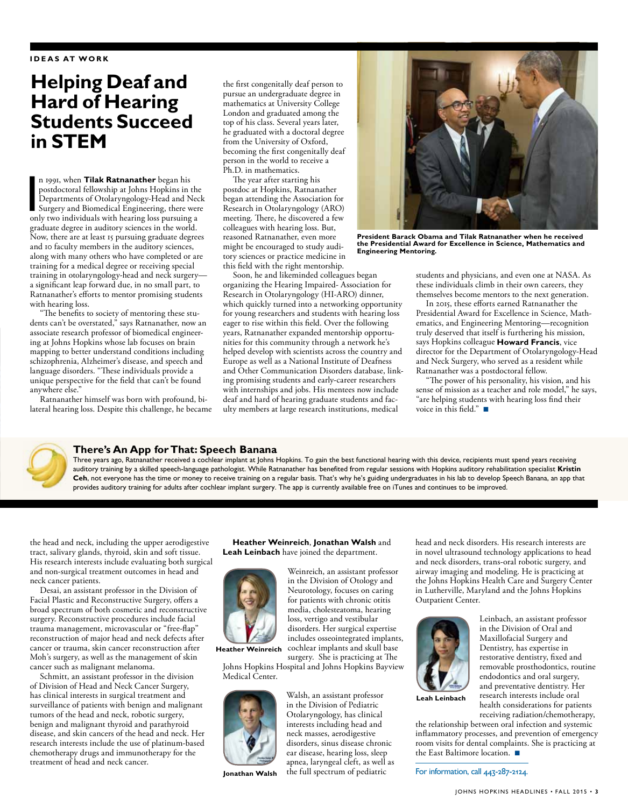## **Helping Deaf and Hard of Hearing Students Succeed in STEM**

n 1991, when **Tilak Ratnanather** began his<br>postdoctoral fellowship at Johns Hopkins in the<br>Departments of Otolaryngology-Head and Nec<br>Surgery and Biomedical Engineering, there wer<br>only two individuals with hearing loss pur n 1991, when **Tilak Ratnanather** began his postdoctoral fellowship at Johns Hopkins in the Departments of Otolaryngology-Head and Neck Surgery and Biomedical Engineering, there were graduate degree in auditory sciences in the world. Now, there are at least 15 pursuing graduate degrees and 10 faculty members in the auditory sciences, along with many others who have completed or are training for a medical degree or receiving special training in otolaryngology-head and neck surgery a significant leap forward due, in no small part, to Ratnanather's efforts to mentor promising students with hearing loss.

"The benefits to society of mentoring these students can't be overstated," says Ratnanather, now an associate research professor of biomedical engineering at Johns Hopkins whose lab focuses on brain mapping to better understand conditions including schizophrenia, Alzheimer's disease, and speech and language disorders. "These individuals provide a unique perspective for the field that can't be found anywhere else."

Ratnanather himself was born with profound, bilateral hearing loss. Despite this challenge, he became

the first congenitally deaf person to pursue an undergraduate degree in mathematics at University College London and graduated among the top of his class. Several years later, he graduated with a doctoral degree from the University of Oxford, becoming the first congenitally deaf person in the world to receive a Ph.D. in mathematics.

The year after starting his postdoc at Hopkins, Ratnanather began attending the Association for Research in Otolaryngology (ARO) meeting. There, he discovered a few colleagues with hearing loss. But, reasoned Ratnanather, even more might be encouraged to study auditory sciences or practice medicine in this field with the right mentorship.

Soon, he and likeminded colleagues began organizing the Hearing Impaired- Association for Research in Otolaryngology (HI-ARO) dinner, which quickly turned into a networking opportunity for young researchers and students with hearing loss eager to rise within this field. Over the following years, Ratnanather expanded mentorship opportunities for this community through a network he's helped develop with scientists across the country and Europe as well as a National Institute of Deafness and Other Communication Disorders database, linking promising students and early-career researchers with internships and jobs. His mentees now include deaf and hard of hearing graduate students and faculty members at large research institutions, medical



**President Barack Obama and Tilak Ratnanather when he received the Presidential Award for Excellence in Science, Mathematics and Engineering Mentoring.**

students and physicians, and even one at NASA. As these individuals climb in their own careers, they themselves become mentors to the next generation.

In 2015, these efforts earned Ratnanather the Presidential Award for Excellence in Science, Mathematics, and Engineering Mentoring—recognition truly deserved that itself is furthering his mission, says Hopkins colleague **Howard Francis**, vice director for the Department of Otolaryngology-Head and Neck Surgery, who served as a resident while Ratnanather was a postdoctoral fellow.

"The power of his personality, his vision, and his sense of mission as a teacher and role model," he says, "are helping students with hearing loss find their voice in this field." $\blacksquare$ 



### **There's An App for That: Speech Banana**

Three years ago, Ratnanather received a cochlear implant at Johns Hopkins. To gain the best functional hearing with this device, recipients must spend years receiving auditory training by a skilled speech-language pathologist. While Ratnanather has benefited from regular sessions with Hopkins auditory rehabilitation specialist **Kristin Ceh**, not everyone has the time or money to receive training on a regular basis. That's why he's guiding undergraduates in his lab to develop Speech Banana, an app that provides auditory training for adults after cochlear implant surgery. The app is currently available free on iTunes and continues to be improved.

the head and neck, including the upper aerodigestive tract, salivary glands, thyroid, skin and soft tissue. His research interests include evaluating both surgical and non-surgical treatment outcomes in head and neck cancer patients.

Desai, an assistant professor in the Division of Facial Plastic and Reconstructive Surgery, offers a broad spectrum of both cosmetic and reconstructive surgery. Reconstructive procedures include facial trauma management, microvascular or "free-flap" reconstruction of major head and neck defects after cancer or trauma, skin cancer reconstruction after Moh's surgery, as well as the management of skin cancer such as malignant melanoma.

Schmitt, an assistant professor in the division of Division of Head and Neck Cancer Surgery, has clinical interests in surgical treatment and surveillance of patients with benign and malignant tumors of the head and neck, robotic surgery, benign and malignant thyroid and parathyroid disease, and skin cancers of the head and neck. Her research interests include the use of platinum-based chemotherapy drugs and immunotherapy for the treatment of head and neck cancer.

**Heather Weinreich**, **Jonathan Walsh** and **Leah Leinbach** have joined the department.



Weinreich, an assistant professor in the Division of Otology and Neurotology, focuses on caring for patients with chronic otitis media, cholesteatoma, hearing loss, vertigo and vestibular disorders. Her surgical expertise

includes osseointegrated implants,

cochlear implants and skull base **Heather Weinreich**

surgery. She is practicing at The Johns Hopkins Hospital and Johns Hopkins Bayview Medical Center.



**Jonathan Walsh**

Walsh, an assistant professor in the Division of Pediatric Otolaryngology, has clinical interests including head and neck masses, aerodigestive disorders, sinus disease chronic ear disease, hearing loss, sleep apnea, laryngeal cleft, as well as the full spectrum of pediatric

head and neck disorders. His research interests are in novel ultrasound technology applications to head and neck disorders, trans-oral robotic surgery, and airway imaging and modeling. He is practicing at the Johns Hopkins Health Care and Surgery Center in Lutherville, Maryland and the Johns Hopkins Outpatient Center.



**Leah Leinbach**

Leinbach, an assistant professor in the Division of Oral and Maxillofacial Surgery and Dentistry, has expertise in restorative dentistry, fixed and removable prosthodontics, routine endodontics and oral surgery, and preventative dentistry. Her research interests include oral health considerations for patients receiving radiation/chemotherapy,

the relationship between oral infection and systemic inflammatory processes, and prevention of emergency room visits for dental complaints. She is practicing at the East Baltimore location.  $\blacksquare$ 

For information, call 443-287-2124.